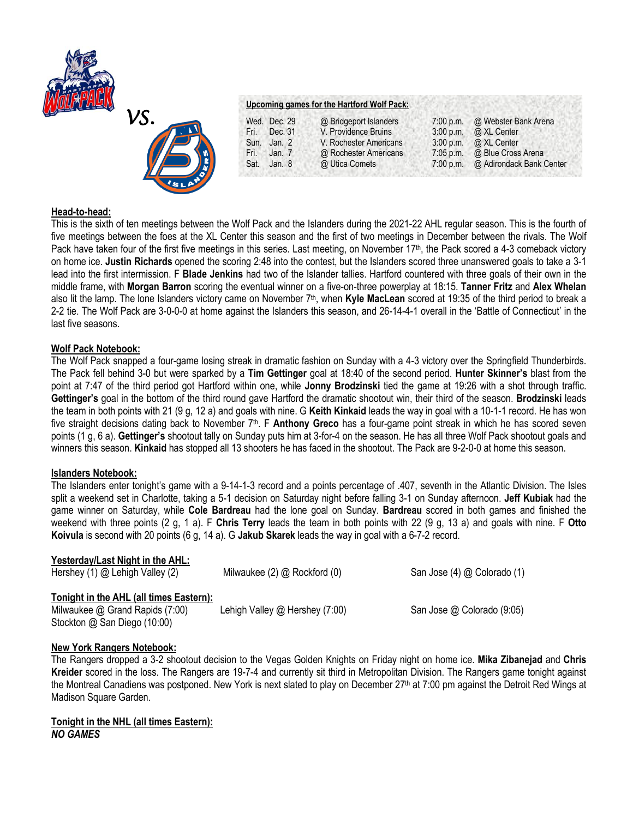



# **Upcoming games for the Hartford Wolf Pack:**

|      | Wed. Dec. 29 | @ Bridgeport Islanders | $7:00$ p.m. | @ Webster Bank Arena     |
|------|--------------|------------------------|-------------|--------------------------|
| Fri. | Dec. 31      | V. Providence Bruins   | 3:00 p.m.   | @ XL Center              |
| Sun. | Jan. $2$     | V. Rochester Americans | $3:00$ p.m. | @ XL Center              |
| Fri. | Jan. $7$     | @ Rochester Americans  | $7:05$ p.m. | @ Blue Cross Arena       |
| Sat. | Jan. $8$     | @ Utica Comets         | 7:00 p.m.   | @ Adirondack Bank Center |

### **Head-to-head:**

This is the sixth of ten meetings between the Wolf Pack and the Islanders during the 2021-22 AHL regular season. This is the fourth of five meetings between the foes at the XL Center this season and the first of two meetings in December between the rivals. The Wolf Pack have taken four of the first five meetings in this series. Last meeting, on November 17<sup>th</sup>, the Pack scored a 4-3 comeback victory on home ice. **Justin Richards** opened the scoring 2:48 into the contest, but the Islanders scored three unanswered goals to take a 3-1 lead into the first intermission. F **Blade Jenkins** had two of the Islander tallies. Hartford countered with three goals of their own in the middle frame, with **Morgan Barron** scoring the eventual winner on a five-on-three powerplay at 18:15. **Tanner Fritz** and **Alex Whelan**  also lit the lamp. The lone Islanders victory came on November 7th, when **Kyle MacLean** scored at 19:35 of the third period to break a 2-2 tie. The Wolf Pack are 3-0-0-0 at home against the Islanders this season, and 26-14-4-1 overall in the 'Battle of Connecticut' in the last five seasons.

## **Wolf Pack Notebook:**

The Wolf Pack snapped a four-game losing streak in dramatic fashion on Sunday with a 4-3 victory over the Springfield Thunderbirds. The Pack fell behind 3-0 but were sparked by a **Tim Gettinger** goal at 18:40 of the second period. **Hunter Skinner's** blast from the point at 7:47 of the third period got Hartford within one, while **Jonny Brodzinski** tied the game at 19:26 with a shot through traffic. **Gettinger's** goal in the bottom of the third round gave Hartford the dramatic shootout win, their third of the season. **Brodzinski** leads the team in both points with 21 (9 g, 12 a) and goals with nine. G **Keith Kinkaid** leads the way in goal with a 10-1-1 record. He has won five straight decisions dating back to November 7<sup>th</sup>. F Anthony Greco has a four-game point streak in which he has scored seven points (1 g, 6 a). **Gettinger's** shootout tally on Sunday puts him at 3-for-4 on the season. He has all three Wolf Pack shootout goals and winners this season. **Kinkaid** has stopped all 13 shooters he has faced in the shootout. The Pack are 9-2-0-0 at home this season.

### **Islanders Notebook:**

The Islanders enter tonight's game with a 9-14-1-3 record and a points percentage of .407, seventh in the Atlantic Division. The Isles split a weekend set in Charlotte, taking a 5-1 decision on Saturday night before falling 3-1 on Sunday afternoon. **Jeff Kubiak** had the game winner on Saturday, while **Cole Bardreau** had the lone goal on Sunday. **Bardreau** scored in both games and finished the weekend with three points (2 g, 1 a). F **Chris Terry** leads the team in both points with 22 (9 g, 13 a) and goals with nine. F **Otto Koivula** is second with 20 points (6 g, 14 a). G **Jakub Skarek** leads the way in goal with a 6-7-2 record.

# **Yesterday/Last Night in the AHL:**

| Hershey (1) @ Lehigh Valley (2)                                                                            | Milwaukee $(2)$ $@$ Rockford $(0)$ | San Jose (4) @ Colorado (1) |
|------------------------------------------------------------------------------------------------------------|------------------------------------|-----------------------------|
| Tonight in the AHL (all times Eastern):<br>Milwaukee @ Grand Rapids (7:00)<br>Stockton @ San Diego (10:00) | Lehigh Valley $@$ Hershey (7:00)   | San Jose @ Colorado (9:05)  |

### **New York Rangers Notebook:**

The Rangers dropped a 3-2 shootout decision to the Vegas Golden Knights on Friday night on home ice. **Mika Zibanejad** and **Chris Kreider** scored in the loss. The Rangers are 19-7-4 and currently sit third in Metropolitan Division. The Rangers game tonight against the Montreal Canadiens was postponed. New York is next slated to play on December 27th at 7:00 pm against the Detroit Red Wings at Madison Square Garden.

## **Tonight in the NHL (all times Eastern):** *NO GAMES*